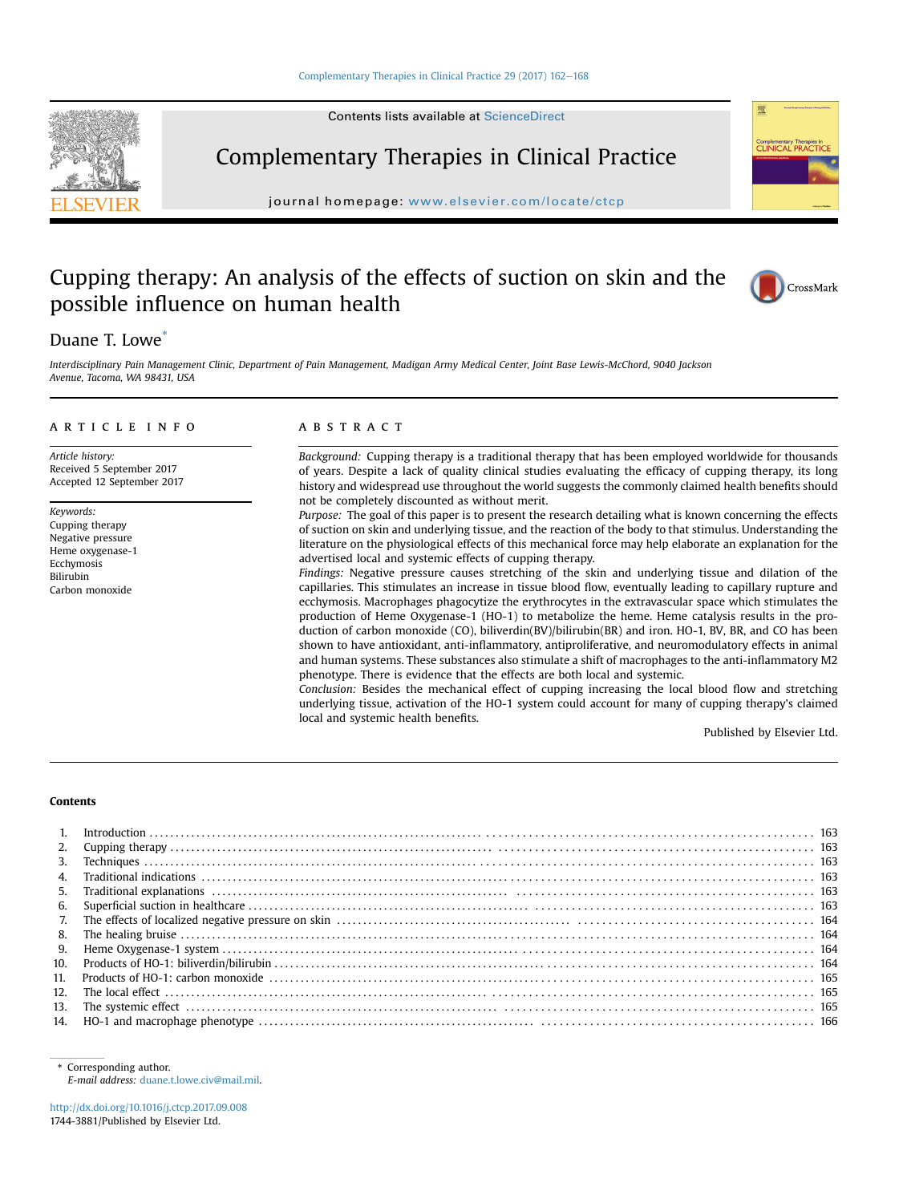Contents lists available at ScienceDirect



Complementary Therapies in Clinical Practice

journal homepage: [www.elsevier.com/locate/ctcp](http://www.elsevier.com/locate/ctcp)

## Cupping therapy: An analysis of the effects of suction on skin and the possible influence on human health



### Duane T. Lowe<sup>\*</sup>

Interdisciplinary Pain Management Clinic, Department of Pain Management, Madigan Army Medical Center, Joint Base Lewis-McChord, 9040 Jackson Avenue, Tacoma, WA 98431, USA

#### article info

Article history: Received 5 September 2017 Accepted 12 September 2017

Keywords: Cupping therapy Negative pressure Heme oxygenase-1 Ecchymosis Bilirubin Carbon monoxide

#### ABSTRACT

Background: Cupping therapy is a traditional therapy that has been employed worldwide for thousands of years. Despite a lack of quality clinical studies evaluating the efficacy of cupping therapy, its long history and widespread use throughout the world suggests the commonly claimed health benefits should not be completely discounted as without merit.

Purpose: The goal of this paper is to present the research detailing what is known concerning the effects of suction on skin and underlying tissue, and the reaction of the body to that stimulus. Understanding the literature on the physiological effects of this mechanical force may help elaborate an explanation for the advertised local and systemic effects of cupping therapy.

Findings: Negative pressure causes stretching of the skin and underlying tissue and dilation of the capillaries. This stimulates an increase in tissue blood flow, eventually leading to capillary rupture and ecchymosis. Macrophages phagocytize the erythrocytes in the extravascular space which stimulates the production of Heme Oxygenase-1 (HO-1) to metabolize the heme. Heme catalysis results in the production of carbon monoxide (CO), biliverdin(BV)/bilirubin(BR) and iron. HO-1, BV, BR, and CO has been shown to have antioxidant, anti-inflammatory, antiproliferative, and neuromodulatory effects in animal and human systems. These substances also stimulate a shift of macrophages to the anti-inflammatory M2 phenotype. There is evidence that the effects are both local and systemic.

Conclusion: Besides the mechanical effect of cupping increasing the local blood flow and stretching underlying tissue, activation of the HO-1 system could account for many of cupping therapy's claimed local and systemic health benefits.

Published by Elsevier Ltd.

#### Contents

| 3.  |  |
|-----|--|
|     |  |
| 5.  |  |
| 6.  |  |
| 7.  |  |
| 8.  |  |
| 9.  |  |
| 10. |  |
| 11. |  |
|     |  |
| 13. |  |
|     |  |

[http://dx.doi.org/10.1016/j.ctcp.2017.09.008](https://doi.org/10.1016/j.ctcp.2017.09.008) 1744-3881/Published by Elsevier Ltd.

<sup>\*</sup> Corresponding author. E-mail address: [duane.t.lowe.civ@mail.mil](mailto:duane.t.lowe.civ@mail.mil).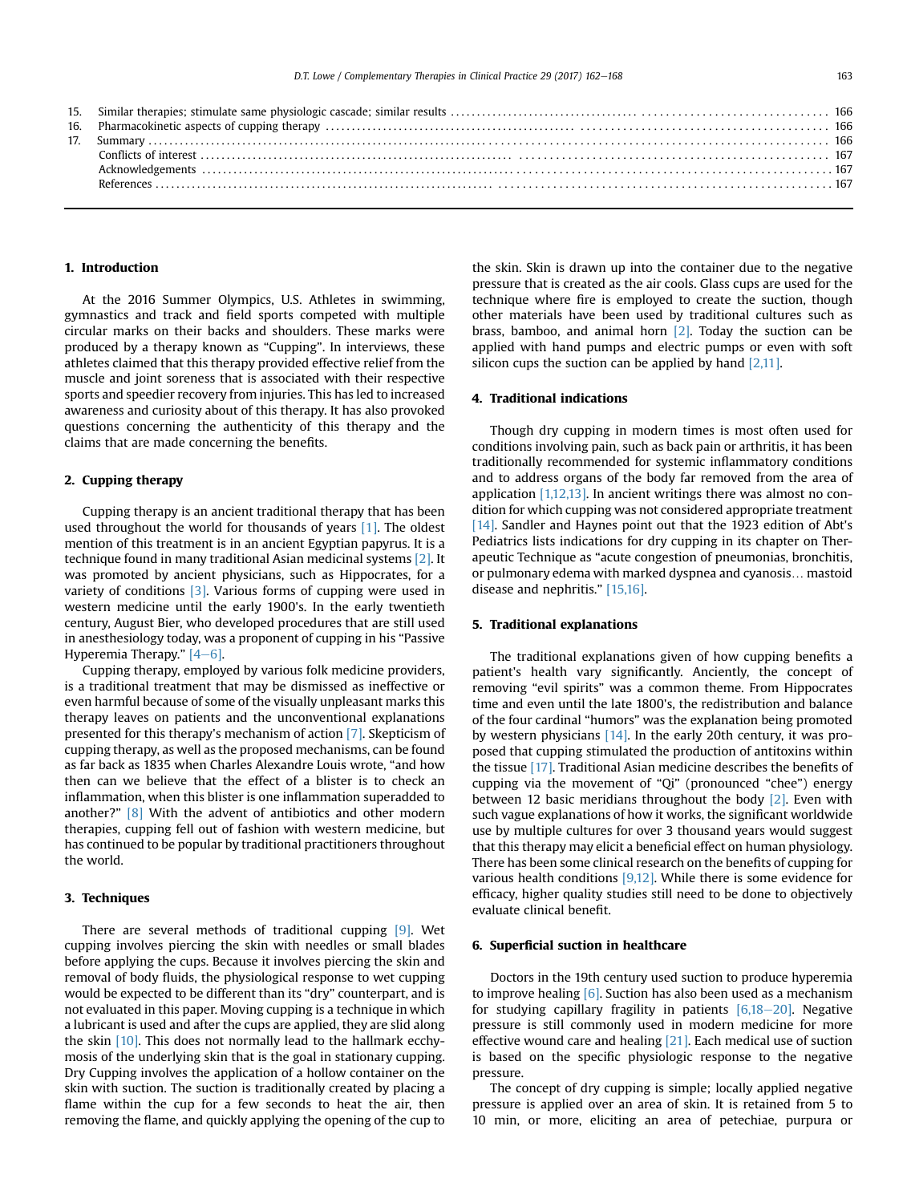#### 1. Introduction

At the 2016 Summer Olympics, U.S. Athletes in swimming, gymnastics and track and field sports competed with multiple circular marks on their backs and shoulders. These marks were produced by a therapy known as "Cupping". In interviews, these athletes claimed that this therapy provided effective relief from the muscle and joint soreness that is associated with their respective sports and speedier recovery from injuries. This has led to increased awareness and curiosity about of this therapy. It has also provoked questions concerning the authenticity of this therapy and the claims that are made concerning the benefits.

#### 2. Cupping therapy

Cupping therapy is an ancient traditional therapy that has been used throughout the world for thousands of years [\[1\].](#page--1-0) The oldest mention of this treatment is in an ancient Egyptian papyrus. It is a technique found in many traditional Asian medicinal systems [\[2\]](#page--1-0). It was promoted by ancient physicians, such as Hippocrates, for a variety of conditions [\[3\]](#page--1-0). Various forms of cupping were used in western medicine until the early 1900's. In the early twentieth century, August Bier, who developed procedures that are still used in anesthesiology today, was a proponent of cupping in his "Passive Hyperemia Therapy."  $[4-6]$  $[4-6]$  $[4-6]$ .

Cupping therapy, employed by various folk medicine providers, is a traditional treatment that may be dismissed as ineffective or even harmful because of some of the visually unpleasant marks this therapy leaves on patients and the unconventional explanations presented for this therapy's mechanism of action [\[7\]](#page--1-0). Skepticism of cupping therapy, as well as the proposed mechanisms, can be found as far back as 1835 when Charles Alexandre Louis wrote, "and how then can we believe that the effect of a blister is to check an inflammation, when this blister is one inflammation superadded to another?" [\[8\]](#page--1-0) With the advent of antibiotics and other modern therapies, cupping fell out of fashion with western medicine, but has continued to be popular by traditional practitioners throughout the world.

#### 3. Techniques

There are several methods of traditional cupping [\[9\].](#page--1-0) Wet cupping involves piercing the skin with needles or small blades before applying the cups. Because it involves piercing the skin and removal of body fluids, the physiological response to wet cupping would be expected to be different than its "dry" counterpart, and is not evaluated in this paper. Moving cupping is a technique in which a lubricant is used and after the cups are applied, they are slid along the skin [\[10\]](#page--1-0). This does not normally lead to the hallmark ecchymosis of the underlying skin that is the goal in stationary cupping. Dry Cupping involves the application of a hollow container on the skin with suction. The suction is traditionally created by placing a flame within the cup for a few seconds to heat the air, then removing the flame, and quickly applying the opening of the cup to

the skin. Skin is drawn up into the container due to the negative pressure that is created as the air cools. Glass cups are used for the technique where fire is employed to create the suction, though other materials have been used by traditional cultures such as brass, bamboo, and animal horn  $[2]$ . Today the suction can be applied with hand pumps and electric pumps or even with soft silicon cups the suction can be applied by hand  $[2,11]$ .

#### 4. Traditional indications

Though dry cupping in modern times is most often used for conditions involving pain, such as back pain or arthritis, it has been traditionally recommended for systemic inflammatory conditions and to address organs of the body far removed from the area of application [\[1,12,13\].](#page--1-0) In ancient writings there was almost no condition for which cupping was not considered appropriate treatment [\[14\]](#page--1-0). Sandler and Haynes point out that the 1923 edition of Abt's Pediatrics lists indications for dry cupping in its chapter on Therapeutic Technique as "acute congestion of pneumonias, bronchitis, or pulmonary edema with marked dyspnea and cyanosis… mastoid disease and nephritis." [\[15,16\]](#page--1-0).

#### 5. Traditional explanations

The traditional explanations given of how cupping benefits a patient's health vary significantly. Anciently, the concept of removing "evil spirits" was a common theme. From Hippocrates time and even until the late 1800's, the redistribution and balance of the four cardinal "humors" was the explanation being promoted by western physicians  $[14]$ . In the early 20th century, it was proposed that cupping stimulated the production of antitoxins within the tissue [\[17\].](#page--1-0) Traditional Asian medicine describes the benefits of cupping via the movement of "Qi" (pronounced "chee") energy between 12 basic meridians throughout the body [\[2\]](#page--1-0). Even with such vague explanations of how it works, the significant worldwide use by multiple cultures for over 3 thousand years would suggest that this therapy may elicit a beneficial effect on human physiology. There has been some clinical research on the benefits of cupping for various health conditions [\[9,12\].](#page--1-0) While there is some evidence for efficacy, higher quality studies still need to be done to objectively evaluate clinical benefit.

#### 6. Superficial suction in healthcare

Doctors in the 19th century used suction to produce hyperemia to improve healing [\[6\].](#page--1-0) Suction has also been used as a mechanism for studying capillary fragility in patients  $[6,18-20]$  $[6,18-20]$  $[6,18-20]$ . Negative pressure is still commonly used in modern medicine for more effective wound care and healing [\[21\].](#page--1-0) Each medical use of suction is based on the specific physiologic response to the negative pressure.

The concept of dry cupping is simple; locally applied negative pressure is applied over an area of skin. It is retained from 5 to 10 min, or more, eliciting an area of petechiae, purpura or